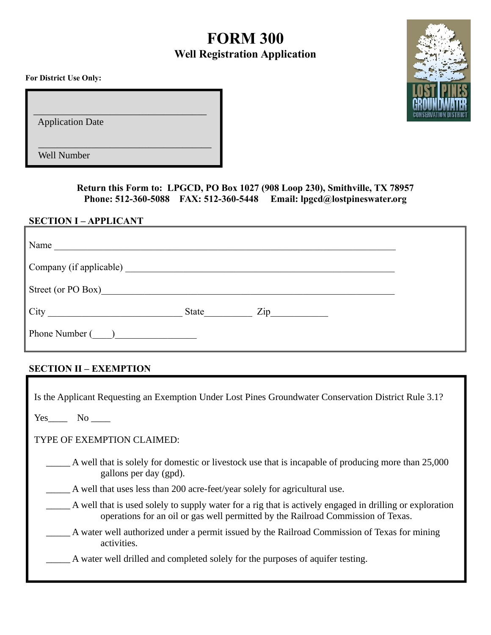# **FORM 300 Well Registration Application**

**For District Use Only:**

Application Date

 $\_$ 

 $\overline{\phantom{a}}$  , which is a set of the set of the set of the set of the set of the set of the set of the set of the set of the set of the set of the set of the set of the set of the set of the set of the set of the set of th

Well Number

**Return this Form to: LPGCD, PO Box 1027 (908 Loop 230), Smithville, TX 78957 Phone: 512-360-5088 FAX: 512-360-5448 Email: lpgcd@lostpineswater.org**

### **SECTION I – APPLICANT**

| Name<br><u> 1989 - Andrea Stadt Britain, fransk politik (d. 1989)</u> |       |                                                                                 |  |
|-----------------------------------------------------------------------|-------|---------------------------------------------------------------------------------|--|
|                                                                       |       |                                                                                 |  |
| Street (or PO Box)                                                    |       |                                                                                 |  |
| $City \qquad \qquad \qquad \qquad \qquad \qquad$                      | State | $\mathsf{Zip}_{\_\_\_\_\_\_\_\_\_\_\_\_\_\_\_\_\_\_\_\_\_\_\_\_\_\_\_\_\_\_\_}$ |  |
| Phone Number ()                                                       |       |                                                                                 |  |

## **SECTION II – EXEMPTION**

| Is the Applicant Requesting an Exemption Under Lost Pines Groundwater Conservation District Rule 3.1? |                                                                                                                                                                                              |  |  |
|-------------------------------------------------------------------------------------------------------|----------------------------------------------------------------------------------------------------------------------------------------------------------------------------------------------|--|--|
| Yes No                                                                                                |                                                                                                                                                                                              |  |  |
| TYPE OF EXEMPTION CLAIMED:                                                                            |                                                                                                                                                                                              |  |  |
|                                                                                                       | A well that is solely for domestic or livestock use that is incapable of producing more than 25,000<br>gallons per day (gpd).                                                                |  |  |
|                                                                                                       | A well that uses less than 200 acre-feet/year solely for agricultural use.                                                                                                                   |  |  |
|                                                                                                       | A well that is used solely to supply water for a rig that is actively engaged in drilling or exploration<br>operations for an oil or gas well permitted by the Railroad Commission of Texas. |  |  |
|                                                                                                       | A water well authorized under a permit issued by the Railroad Commission of Texas for mining<br>activities.                                                                                  |  |  |
|                                                                                                       | A water well drilled and completed solely for the purposes of aquifer testing.                                                                                                               |  |  |